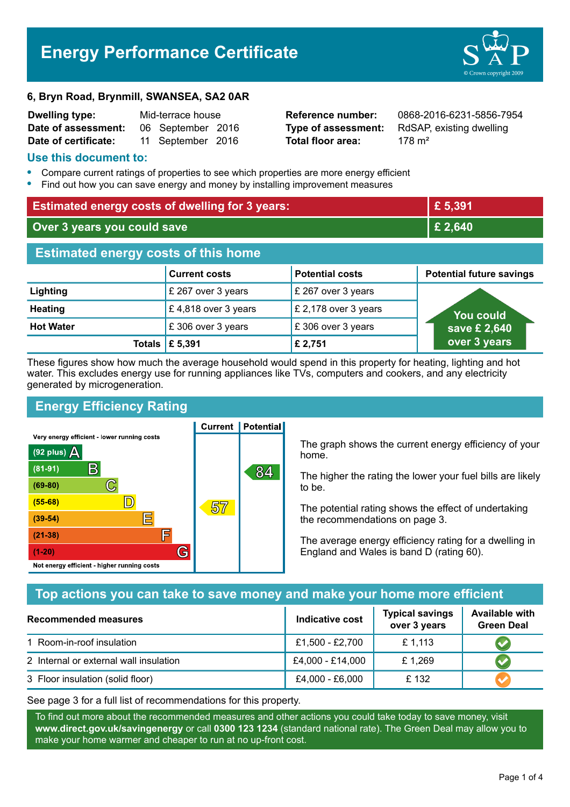# **Energy Performance Certificate**



| <b>Dwelling type:</b> | Mid-terrace house |                   |  |
|-----------------------|-------------------|-------------------|--|
| Date of assessment:   |                   | 06 September 2016 |  |
| Date of certificate:  |                   | 11 September 2016 |  |

**Total floor area:** 178 m<sup>2</sup>

**Reference number:** 0868-2016-6231-5856-7954 **Type of assessment:** RdSAP, existing dwelling

#### **Use this document to:**

- **•** Compare current ratings of properties to see which properties are more energy efficient
- **•** Find out how you can save energy and money by installing improvement measures

| <b>Estimated energy costs of dwelling for 3 years:</b> |                      |                        | £ 5,391                         |  |
|--------------------------------------------------------|----------------------|------------------------|---------------------------------|--|
| Over 3 years you could save                            |                      |                        | £ 2,640                         |  |
| <b>Estimated energy costs of this home</b>             |                      |                        |                                 |  |
|                                                        | <b>Current costs</b> | <b>Potential costs</b> | <b>Potential future savings</b> |  |
| Lighting                                               | £ 267 over 3 years   | £ 267 over 3 years     |                                 |  |
| <b>Heating</b>                                         | £4,818 over 3 years  | £ 2,178 over 3 years   | <b>You could</b>                |  |
| <b>Hot Water</b>                                       | £306 over 3 years    | £306 over 3 years      | save £ 2,640                    |  |
| Totals                                                 | £ 5,391              | £ 2,751                | over 3 years                    |  |

These figures show how much the average household would spend in this property for heating, lighting and hot water. This excludes energy use for running appliances like TVs, computers and cookers, and any electricity generated by microgeneration.

**Current | Potential** 

# **Energy Efficiency Rating**

Very energy efficient - lower running costs



The graph shows the current energy efficiency of your home.

The higher the rating the lower your fuel bills are likely to be.

The potential rating shows the effect of undertaking the recommendations on page 3.

The average energy efficiency rating for a dwelling in England and Wales is band D (rating 60).

## **Top actions you can take to save money and make your home more efficient**

| <b>Recommended measures</b>            | <b>Indicative cost</b> | <b>Typical savings</b><br>over 3 years | <b>Available with</b><br><b>Green Deal</b> |
|----------------------------------------|------------------------|----------------------------------------|--------------------------------------------|
| 1 Room-in-roof insulation              | £1,500 - £2,700        | £1,113                                 |                                            |
| 2 Internal or external wall insulation | £4,000 - £14,000       | £1,269                                 |                                            |
| 3 Floor insulation (solid floor)       | £4,000 - £6,000        | £132                                   |                                            |

See page 3 for a full list of recommendations for this property.

To find out more about the recommended measures and other actions you could take today to save money, visit **www.direct.gov.uk/savingenergy** or call **0300 123 1234** (standard national rate). The Green Deal may allow you to make your home warmer and cheaper to run at no up-front cost.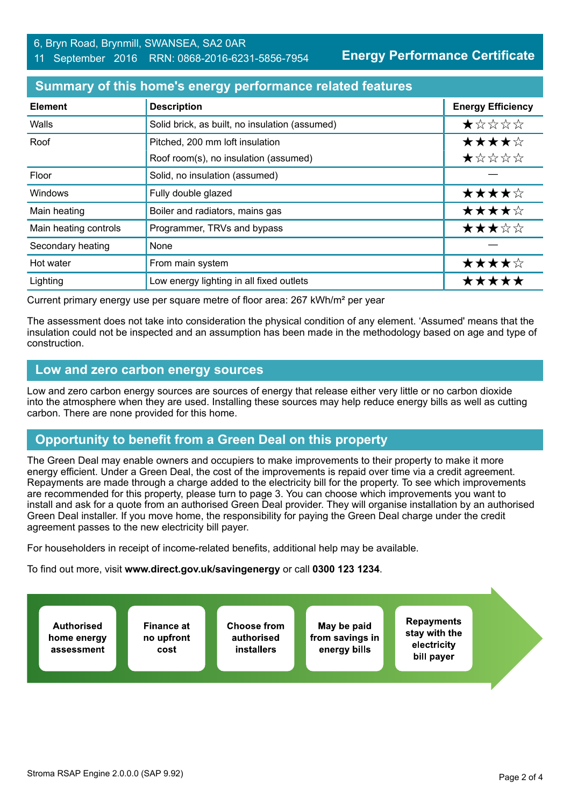**Energy Performance Certificate**

### **Summary of this home's energy performance related features**

| <b>Element</b>        | <b>Description</b>                             | <b>Energy Efficiency</b> |
|-----------------------|------------------------------------------------|--------------------------|
| Walls                 | Solid brick, as built, no insulation (assumed) | *****                    |
| Roof                  | Pitched, 200 mm loft insulation                | ★★★★☆                    |
|                       | Roof room(s), no insulation (assumed)          | ★☆☆☆☆                    |
| Floor                 | Solid, no insulation (assumed)                 |                          |
| Windows               | Fully double glazed                            | ★★★★☆                    |
| Main heating          | Boiler and radiators, mains gas                | ★★★★☆                    |
| Main heating controls | Programmer, TRVs and bypass                    | ★★★☆☆                    |
| Secondary heating     | None                                           |                          |
| Hot water             | From main system                               | ★★★★☆                    |
| Lighting              | Low energy lighting in all fixed outlets       | *****                    |

Current primary energy use per square metre of floor area: 267 kWh/m² per year

The assessment does not take into consideration the physical condition of any element. 'Assumed' means that the insulation could not be inspected and an assumption has been made in the methodology based on age and type of construction.

#### **Low and zero carbon energy sources**

Low and zero carbon energy sources are sources of energy that release either very little or no carbon dioxide into the atmosphere when they are used. Installing these sources may help reduce energy bills as well as cutting carbon. There are none provided for this home.

# **Opportunity to benefit from a Green Deal on this property**

The Green Deal may enable owners and occupiers to make improvements to their property to make it more energy efficient. Under a Green Deal, the cost of the improvements is repaid over time via a credit agreement. Repayments are made through a charge added to the electricity bill for the property. To see which improvements are recommended for this property, please turn to page 3. You can choose which improvements you want to install and ask for a quote from an authorised Green Deal provider. They will organise installation by an authorised Green Deal installer. If you move home, the responsibility for paying the Green Deal charge under the credit agreement passes to the new electricity bill payer.

For householders in receipt of income-related benefits, additional help may be available.

To find out more, visit **www.direct.gov.uk/savingenergy** or call **0300 123 1234**.

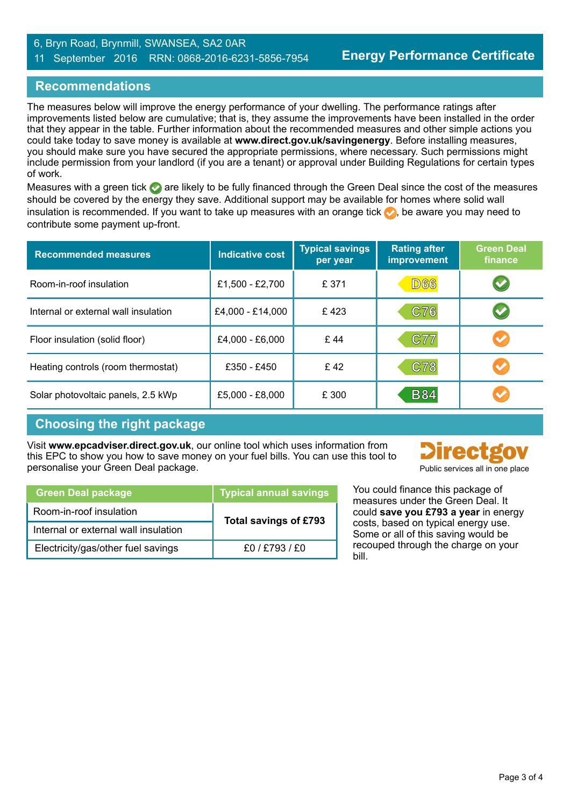#### 6, Bryn Road, Brynmill, SWANSEA, SA2 0AR 11 September 2016 RRN: 0868-2016-6231-5856-7954

## **Recommendations**

The measures below will improve the energy performance of your dwelling. The performance ratings after improvements listed below are cumulative; that is, they assume the improvements have been installed in the order that they appear in the table. Further information about the recommended measures and other simple actions you could take today to save money is available at **www.direct.gov.uk/savingenergy**. Before installing measures, you should make sure you have secured the appropriate permissions, where necessary. Such permissions might include permission from your landlord (if you are a tenant) or approval under Building Regulations for certain types of work.

Measures with a green tick are likely to be fully financed through the Green Deal since the cost of the measures should be covered by the energy they save. Additional support may be available for homes where solid wall insulation is recommended. If you want to take up measures with an orange tick  $\bullet$ , be aware you may need to contribute some payment up-front.

| <b>Recommended measures</b>          | <b>Indicative cost</b> | <b>Typical savings</b><br>per year | <b>Rating after</b><br>improvement | <b>Green Deal</b><br>finance |
|--------------------------------------|------------------------|------------------------------------|------------------------------------|------------------------------|
| Room-in-roof insulation              | £1,500 - £2,700        | £ 371                              | <b>D66</b>                         | $\blacktriangledown$         |
| Internal or external wall insulation | £4,000 - £14,000       | £423                               | C76                                |                              |
| Floor insulation (solid floor)       | £4,000 - £6,000        | £44                                | <b>C77</b>                         |                              |
| Heating controls (room thermostat)   | £350 - £450            | £42                                | C78                                |                              |
| Solar photovoltaic panels, 2.5 kWp   | £5,000 - £8,000        | £ 300                              | <b>B84</b>                         |                              |

## **Choosing the right package**

Visit **www.epcadviser.direct.gov.uk**, our online tool which uses information from this EPC to show you how to save money on your fuel bills. You can use this tool to personalise your Green Deal package. Public services all in one place of the place of the place of the place of the place of the place of the place of the place of the place of the place of the place of the place of the pl



| <b>Green Deal package</b>            | <b>Typical annual savings</b> |  |
|--------------------------------------|-------------------------------|--|
| Room-in-roof insulation              | Total savings of £793         |  |
| Internal or external wall insulation |                               |  |
| Electricity/gas/other fuel savings   | £0/£793/£0                    |  |

You could finance this package of measures under the Green Deal. It could **save you £793 a year** in energy costs, based on typical energy use. Some or all of this saving would be recouped through the charge on your bill.